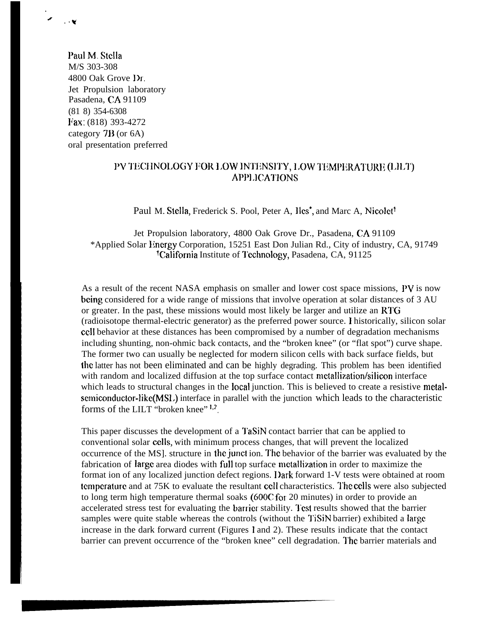Paul M. Stella M/S 303-308 4800 Oak Grove Dr. Jet Propulsion laboratory Pasadena, CA 91109 (81 8) 354-6308 liax: (818) 393-4272 category 7B (or 6A) oral presentation preferred

 $\mathbb{R}^3$ 

## PV TECHNOLOGY FOR LOW INTENSITY, LOW TEMPERATURE (LILT) APPLICATIONS

Paul M. Stella, Frederick S. Pool, Peter A, Iles<sup>\*</sup>, and Marc A, Nicolet<sup>†</sup>

Jet Propulsion laboratory, 4800 Oak Grove Dr., Pasadena, CA 91109 \*Applied Solar I!nergy Corporation, 15251 East Don Julian Rd., City of industry, CA, 91749 <sup>t</sup>California Institute of Technology, Pasadena, CA, 91125

As a result of the recent NASA emphasis on smaller and lower cost space missions, PV is now being considered for a wide range of missions that involve operation at solar distances of 3 AU or greater. In the past, these missions would most likely be larger and utilize an RTG (radioisotope thermal-electric generator) as the preferred power source. 1 historically, silicon solar cell behavior at these distances has been compromised by a number of degradation mechanisms including shunting, non-ohmic back contacts, and the "broken knee" (or "flat spot") curve shape. The former two can usually be neglected for modern silicon cells with back surface fields, but the latter has not been eliminated and can be highly degrading. This problem has been identified with random and localized diffusion at the top surface contact metallization/silicon interface which leads to structural changes in the local junction. This is believed to create a resistive metal $semiconductor-like(MSL)$  interface in parallel with the junction which leads to the characteristic forms of the LILT "broken knee"  $1,2$ .

This paper discusses the development of a TaSiN contact barrier that can be applied to conventional solar cells, with minimum process changes, that will prevent the localized occurrence of the MS]. structure in the junct ion. The behavior of the barrier was evaluated by the fabrication of large area diodes with full top surface metallization in order to maximize the format ion of any localized junction defect regions. I)ark forward 1-V tests were obtained at room temperature and at 75K to evaluate the resultant cell characteristics. The cells were also subjected to long term high temperature thermal soaks (600C fot 20 minutes) in order to provide an accelerated stress test for evaluating the barrier stability. Test results showed that the barrier samples were quite stable whereas the controls (without the TiSiN barrier) exhibited a large increase in the dark forward current (Figures 1 and 2). These results indicate that the contact barrier can prevent occurrence of the "broken knee" cell degradation. I'hc barrier materials and